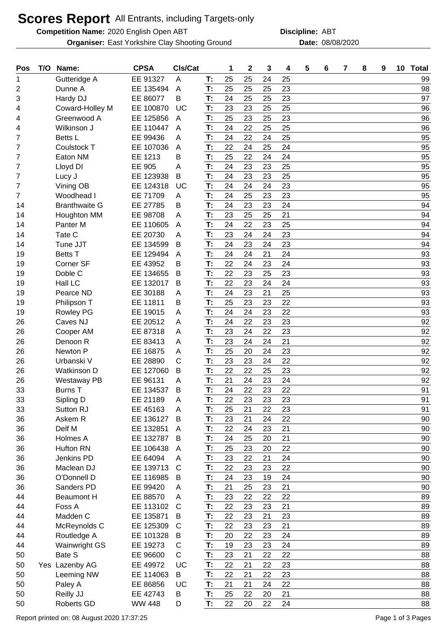## **Scores Report** All Entrants, including Targets-only

**Competition Name:** 2020 English Open ABT **ABT Discipline:** ABT

**Organiser:** East Yorkshire Clay Shooting Ground **Date:** 08/08/2020

**Discipline:**

| Pos | T/O | Name:                | <b>CPSA</b>   | CIs/Cat      |    | 1  | $\mathbf{2}$ | 3  | 4  | 5 | 6 | $\overline{7}$ | 8 | 9 | 10 Total |
|-----|-----|----------------------|---------------|--------------|----|----|--------------|----|----|---|---|----------------|---|---|----------|
| 1   |     | Gutteridge A         | EE 91327      | A            | T: | 25 | 25           | 24 | 25 |   |   |                |   |   | 99       |
| 2   |     | Dunne A              | EE 135494     | A            | T: | 25 | 25           | 25 | 23 |   |   |                |   |   | 98       |
| 3   |     | Hardy DJ             | EE 86077      | B            | T: | 24 | 25           | 25 | 23 |   |   |                |   |   | 97       |
| 4   |     | Coward-Holley M      | EE 100870     | UC           | T: | 23 | 23           | 25 | 25 |   |   |                |   |   | 96       |
| 4   |     | Greenwood A          | EE 125856     | A            | T: | 25 | 23           | 25 | 23 |   |   |                |   |   | 96       |
| 4   |     | Wilkinson J          | EE 110447     | A            | T: | 24 | 22           | 25 | 25 |   |   |                |   |   | 96       |
| 7   |     | Betts L              | EE 99436      | Α            | T: | 24 | 22           | 24 | 25 |   |   |                |   |   | 95       |
| 7   |     | Coulstock T          | EE 107036     | A            | T: | 22 | 24           | 25 | 24 |   |   |                |   |   | 95       |
| 7   |     | Eaton NM             | EE 1213       | B            | T: | 25 | 22           | 24 | 24 |   |   |                |   |   | 95       |
| 7   |     | Lloyd DI             | EE 905        | Α            | T: | 24 | 23           | 23 | 25 |   |   |                |   |   | 95       |
| 7   |     | Lucy J               | EE 123938     | B            | T: | 24 | 23           | 23 | 25 |   |   |                |   |   | 95       |
| 7   |     | Vining OB            | EE 124318     | UC           | T: | 24 | 24           | 24 | 23 |   |   |                |   |   | 95       |
| 7   |     | Woodhead I           | EE 71709      | Α            | T: | 24 | 25           | 23 | 23 |   |   |                |   |   | 95       |
| 14  |     | <b>Branthwaite G</b> | EE 27785      | В            | T: | 24 | 23           | 23 | 24 |   |   |                |   |   | 94       |
| 14  |     | Houghton MM          | EE 98708      | A            | T: | 23 | 25           | 25 | 21 |   |   |                |   |   | 94       |
| 14  |     | Panter M             | EE 110605     | A            | T: | 24 | 22           | 23 | 25 |   |   |                |   |   | 94       |
| 14  |     | Tate C               | EE 20730      | Α            | T: | 23 | 24           | 24 | 23 |   |   |                |   |   | 94       |
| 14  |     | Tune JJT             | EE 134599     | B            | T: | 24 | 23           | 24 | 23 |   |   |                |   |   | 94       |
| 19  |     | <b>Betts T</b>       | EE 129494     | A            | T: | 24 | 24           | 21 | 24 |   |   |                |   |   | 93       |
| 19  |     | Corner SF            | EE 43952      | в            | T: | 22 | 24           | 23 | 24 |   |   |                |   |   | 93       |
| 19  |     | Doble C              | EE 134655     | B            | T: | 22 | 23           | 25 | 23 |   |   |                |   |   | 93       |
| 19  |     | Hall LC              | EE 132017     | B            | T: | 22 | 23           | 24 | 24 |   |   |                |   |   | 93       |
| 19  |     | Pearce ND            | EE 30188      | Α            | T: | 24 | 23           | 21 | 25 |   |   |                |   |   | 93       |
| 19  |     | Philipson T          | EE 11811      | Β            | T: | 25 | 23           | 23 | 22 |   |   |                |   |   | 93       |
| 19  |     | <b>Rowley PG</b>     | EE 19015      | Α            | T: | 24 | 24           | 23 | 22 |   |   |                |   |   | 93       |
| 26  |     | Caves NJ             | EE 20512      | A            | T: | 24 | 22           | 23 | 23 |   |   |                |   |   | 92       |
| 26  |     | Cooper AM            | EE 87318      | A            | T: | 23 | 24           | 22 | 23 |   |   |                |   |   | 92       |
| 26  |     | Denoon R             | EE 83413      | Α            | T: | 23 | 24           | 24 | 21 |   |   |                |   |   | 92       |
| 26  |     | Newton P             | EE 16875      | Α            | T: | 25 | 20           | 24 | 23 |   |   |                |   |   | 92       |
| 26  |     | Urbanski V           | EE 28890      | C            | T: | 23 | 23           | 24 | 22 |   |   |                |   |   | 92       |
| 26  |     | <b>Watkinson D</b>   | EE 127060     | B            | T: | 22 | 22           | 25 | 23 |   |   |                |   |   | 92       |
| 26  |     | Westaway PB          | EE 96131      | Α            | T: | 21 | 24           | 23 | 24 |   |   |                |   |   | 92       |
| 33  |     | <b>Burns T</b>       | EE 134537     | B            | T: | 24 | 22           | 23 | 22 |   |   |                |   |   | 91       |
| 33  |     | Sipling D            | EE 21189      | A            | T: | 22 | 23           | 23 | 23 |   |   |                |   |   | 91       |
| 33  |     | Sutton RJ            | EE 45163      | A            | T: | 25 | 21           | 22 | 23 |   |   |                |   |   | 91       |
| 36  |     | Askem R              | EE 136127     | B            | T: | 23 | 21           | 24 | 22 |   |   |                |   |   | 90       |
| 36  |     | Delf M               | EE 132851     | A            | T: | 22 | 24           | 23 | 21 |   |   |                |   |   | 90       |
| 36  |     | <b>Holmes A</b>      | EE 132787     | B            | T: | 24 | 25           | 20 | 21 |   |   |                |   |   | 90       |
| 36  |     | Hufton RN            | EE 106438     | A            | T: | 25 | 23           | 20 | 22 |   |   |                |   |   | 90       |
| 36  |     | Jenkins PD           | EE 64094      | A            | T: | 23 | 22           | 21 | 24 |   |   |                |   |   | 90       |
| 36  |     | Maclean DJ           | EE 139713     | C            | T: | 22 | 23           | 23 | 22 |   |   |                |   |   | 90       |
| 36  |     | O'Donnell D          | EE 116985     | B            | T: | 24 | 23           | 19 | 24 |   |   |                |   |   | 90       |
| 36  |     | Sanders PD           | EE 99420      | A            | T: | 21 | 25           | 23 | 21 |   |   |                |   |   | 90       |
| 44  |     | <b>Beaumont H</b>    | EE 88570      | A            | T: | 23 | 22           | 22 | 22 |   |   |                |   |   | 89       |
| 44  |     | Foss A               | EE 113102     | $\mathsf{C}$ | T: | 22 | 23           | 23 | 21 |   |   |                |   |   | 89       |
| 44  |     | Madden C             | EE 135871     | B            | T: | 22 | 23           | 21 | 23 |   |   |                |   |   | 89       |
| 44  |     | McReynolds C         | EE 125309     | C            | T: | 22 | 23           | 23 | 21 |   |   |                |   |   | 89       |
| 44  |     | Routledge A          | EE 101328     | B            | T. | 20 | 22           | 23 | 24 |   |   |                |   |   | 89       |
| 44  |     | <b>Wainwright GS</b> | EE 19273      | С            | T: | 19 | 23           | 23 | 24 |   |   |                |   |   | 89       |
| 50  |     | Bate S               | EE 96600      | C            | T: | 23 | 21           | 22 | 22 |   |   |                |   |   | 88       |
| 50  |     | Yes Lazenby AG       | EE 49972      | UC           | T: | 22 | 21           | 22 | 23 |   |   |                |   |   | 88       |
| 50  |     | Leeming NW           | EE 114063     | B            | T: | 22 | 21           | 22 | 23 |   |   |                |   |   | 88       |
| 50  |     | Paley A              | EE 86856      | UC           | T: | 21 | 21           | 24 | 22 |   |   |                |   |   | 88       |
| 50  |     | Reilly JJ            | EE 42743      | B            | T: | 25 | 22           | 20 | 21 |   |   |                |   |   | 88       |
| 50  |     | <b>Roberts GD</b>    | <b>WW 448</b> | D            | T: | 22 | 20           | 22 | 24 |   |   |                |   |   | 88       |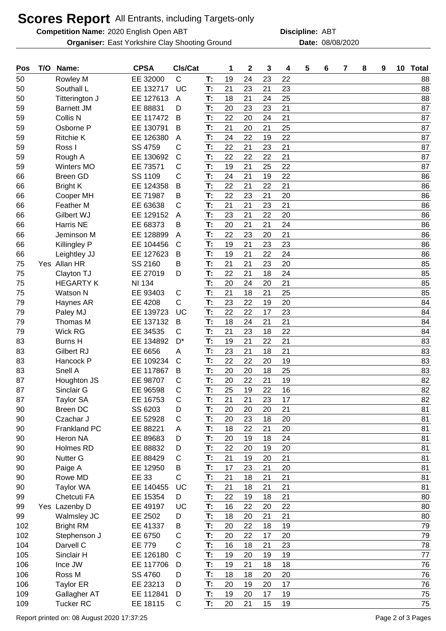## **Scores Report** All Entrants, including Targets-only

**Competition Name:** 2020 English Open ABT **ABT Discipline:** ABT

**Organiser:** East Yorkshire Clay Shooting Ground **Date:** 08/08/2020

**Discipline:**

| Pos | T/O | Name:             | <b>CPSA</b>   | CIs/Cat      |    | 1  | $\mathbf 2$ | 3  | 4  | 5 | 6 | 7 | 8 | 9 | 10 Total |
|-----|-----|-------------------|---------------|--------------|----|----|-------------|----|----|---|---|---|---|---|----------|
| 50  |     | Rowley M          | EE 32000      | $\mathsf C$  | T: | 19 | 24          | 23 | 22 |   |   |   |   |   | 88       |
| 50  |     | Southall L        | EE 132717     | <b>UC</b>    | T: | 21 | 23          | 21 | 23 |   |   |   |   |   | 88       |
| 50  |     | Titterington J    | EE 127613     | A            | T: | 18 | 21          | 24 | 25 |   |   |   |   |   | 88       |
| 59  |     | <b>Barnett JM</b> | EE 88831      | D            | T: | 20 | 23          | 23 | 21 |   |   |   |   |   | 87       |
| 59  |     | Collis N          | EE 117472     | B            | T: | 22 | 20          | 24 | 21 |   |   |   |   |   | 87       |
| 59  |     | Osborne P         | EE 130791     | B            | T: | 21 | 20          | 21 | 25 |   |   |   |   |   | 87       |
| 59  |     | <b>Ritchie K</b>  | EE 126380     | A            | T: | 24 | 22          | 19 | 22 |   |   |   |   |   | 87       |
| 59  |     | Ross I            | SS 4759       | C            | T: | 22 | 21          | 23 | 21 |   |   |   |   |   | 87       |
| 59  |     | Rough A           | EE 130692     | $\mathsf{C}$ | T: | 22 | 22          | 22 | 21 |   |   |   |   |   | 87       |
| 59  |     | <b>Winters MO</b> | EE 73571      | С            | T: | 19 | 21          | 25 | 22 |   |   |   |   |   | 87       |
| 66  |     | <b>Breen GD</b>   | SS 1109       | C            | T: | 24 | 21          | 19 | 22 |   |   |   |   |   | 86       |
| 66  |     | <b>Bright K</b>   | EE 124358     | B            | T: | 22 | 21          | 22 | 21 |   |   |   |   |   | 86       |
| 66  |     | Cooper MH         | EE 71987      | в            | T: | 22 | 23          | 21 | 20 |   |   |   |   |   | 86       |
| 66  |     | <b>Feather M</b>  | EE 63638      | C            | T: | 21 | 21          | 23 | 21 |   |   |   |   |   | 86       |
| 66  |     | Gilbert WJ        | EE 129152     | A            | T: | 23 | 21          | 22 | 20 |   |   |   |   |   | 86       |
| 66  |     | Harris NE         | EE 68373      | в            | T: | 20 | 21          | 21 | 24 |   |   |   |   |   | 86       |
| 66  |     | Jeminson M        | EE 128899     | A            | T: | 22 | 23          | 20 | 21 |   |   |   |   |   | 86       |
| 66  |     | Killingley P      | EE 104456     | C            | T: | 19 | 21          | 23 | 23 |   |   |   |   |   | 86       |
| 66  |     | Leightley JJ      | EE 127623     | B            | T: | 19 | 21          | 22 | 24 |   |   |   |   |   | 86       |
| 75  |     | Yes Allan HR      | SS 2160       | в            | T: | 21 | 21          | 23 | 20 |   |   |   |   |   | 85       |
| 75  |     | Clayton TJ        | EE 27019      | D            | T: | 22 | 21          | 18 | 24 |   |   |   |   |   | 85       |
| 75  |     | <b>HEGARTY K</b>  | <b>NI 134</b> |              | T: | 20 | 24          | 20 | 21 |   |   |   |   |   | 85       |
| 75  |     | <b>Watson N</b>   | EE 93403      | С            | T: | 21 | 18          | 21 | 25 |   |   |   |   |   | 85       |
| 79  |     | Haynes AR         | EE 4208       | C            | T: | 23 | 22          | 19 | 20 |   |   |   |   |   | 84       |
| 79  |     | Paley MJ          | EE 139723     | UC           | T: | 22 | 22          | 17 | 23 |   |   |   |   |   | 84       |
| 79  |     | Thomas M          | EE 137132     | B            | T: | 18 | 24          | 21 | 21 |   |   |   |   |   | 84       |
| 79  |     | <b>Wick RG</b>    | EE 34535      | C            | T: | 21 | 23          | 18 | 22 |   |   |   |   |   | 84       |
| 83  |     | <b>Burns H</b>    | EE 134892     | $D^*$        | T: | 19 | 21          | 22 | 21 |   |   |   |   |   | 83       |
| 83  |     | Gilbert RJ        | EE 6656       | Α            | T: | 23 | 21          | 18 | 21 |   |   |   |   |   | 83       |
| 83  |     | Hancock P         | EE 109234     | $\mathsf{C}$ | T: | 22 | 22          | 20 | 19 |   |   |   |   |   | 83       |
| 83  |     | Snell A           | EE 117867     | B            | T: | 20 | 20          | 18 | 25 |   |   |   |   |   | 83       |
| 87  |     | Houghton JS       | EE 98707      | С            | T: | 20 | 22          | 21 | 19 |   |   |   |   |   | 82       |
| 87  |     | Sinclair G        | EE 96598      | $\mathsf{C}$ | T: | 25 | 19          | 22 | 16 |   |   |   |   |   | 82       |
| 87  |     | <b>Taylor SA</b>  | EE 16753      | $\mathsf C$  | T: | 21 | 21          | 23 | 17 |   |   |   |   |   | 82       |
| 90  |     | <b>Breen DC</b>   | SS 6203       | D            | T: | 20 | 20          | 20 | 21 |   |   |   |   |   | 81       |
| 90  |     | Czachar J         | EE 52928      | C            | T: | 20 | 23          | 18 | 20 |   |   |   |   |   | 81       |
| 90  |     | Frankland PC      | EE 88221      | Α            | T: | 18 | 22          | 21 | 20 |   |   |   |   |   | 81       |
| 90  |     | Heron NA          | EE 89683      | D            | T: | 20 | 19          | 18 | 24 |   |   |   |   |   | 81       |
| 90  |     | Holmes RD         | EE 88832      | D            | T. | 22 | 20          | 19 | 20 |   |   |   |   |   | 81       |
| 90  |     | <b>Nutter G</b>   | EE 88429      | С            | T: | 21 | 19          | 20 | 21 |   |   |   |   |   | 81       |
| 90  |     | Paige A           | EE 12950      | В            | T: | 17 | 23          | 21 | 20 |   |   |   |   |   | 81       |
| 90  |     | Rowe MD           | EE 33         | C            | T: | 21 | 18          | 21 | 21 |   |   |   |   |   | 81       |
| 90  |     | <b>Taylor WA</b>  | EE 140455     | UC           | T: | 21 | 18          | 21 | 21 |   |   |   |   |   | 81       |
| 99  |     | Chetcuti FA       | EE 15354      | D            | T. | 22 | 19          | 18 | 21 |   |   |   |   |   | 80       |
| 99  |     | Yes Lazenby D     | EE 49197      | UC           | T. | 16 | 22          | 20 | 22 |   |   |   |   |   | 80       |
| 99  |     | Walmsley JC       | EE 2502       | D            | T: | 18 | 20          | 21 | 21 |   |   |   |   |   | 80       |
| 102 |     | <b>Bright RM</b>  | EE 41337      | B            | T: | 20 | 22          | 18 | 19 |   |   |   |   |   | 79       |
| 102 |     | Stephenson J      | EE 6750       | C            | T. | 20 | 22          | 17 | 20 |   |   |   |   |   | 79       |
| 104 |     | Darvell C         | <b>EE 779</b> | C            | T: | 16 | 18          | 21 | 23 |   |   |   |   |   | 78       |
| 105 |     | Sinclair H        | EE 126180     | $\mathsf{C}$ | T: | 19 | 20          | 19 | 19 |   |   |   |   |   | 77       |
| 106 |     | Ince JW           | EE 117706     | D            | T. | 19 | 21          | 18 | 18 |   |   |   |   |   | 76       |
| 106 |     | Ross M            | SS 4760       | D            | T: | 18 | 18          | 20 | 20 |   |   |   |   |   | 76       |
| 106 |     | <b>Taylor ER</b>  | EE 23213      | D            | T: | 20 | 19          | 20 | 17 |   |   |   |   |   | 76       |
| 109 |     | Gallagher AT      | EE 112841     | D            | T. | 19 | 20          | 17 | 19 |   |   |   |   |   | 75       |
| 109 |     | <b>Tucker RC</b>  | EE 18115      | C            | T: | 20 | 21          | 15 | 19 |   |   |   |   |   | 75       |
|     |     |                   |               |              |    |    |             |    |    |   |   |   |   |   |          |